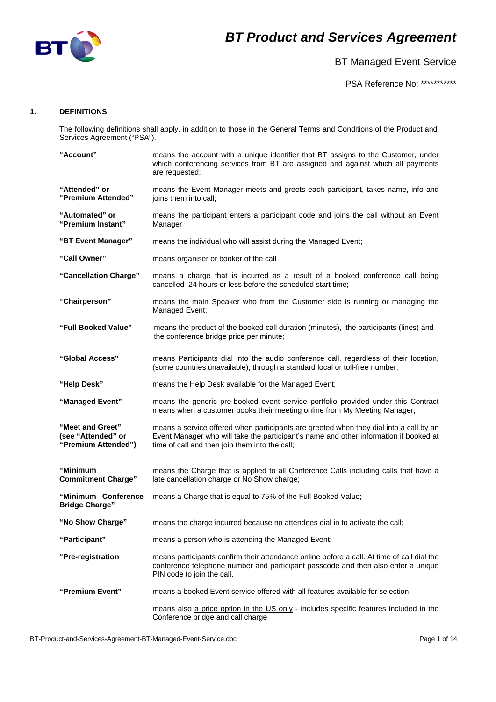

BT Managed Event Service

### **1. DEFINITIONS**

The following definitions shall apply, in addition to those in the General Terms and Conditions of the Product and Services Agreement ("PSA").

| "Account"                                                     | means the account with a unique identifier that BT assigns to the Customer, under<br>which conferencing services from BT are assigned and against which all payments<br>are requested;                                            |
|---------------------------------------------------------------|-----------------------------------------------------------------------------------------------------------------------------------------------------------------------------------------------------------------------------------|
| "Attended" or<br>"Premium Attended"                           | means the Event Manager meets and greets each participant, takes name, info and<br>joins them into call;                                                                                                                          |
| "Automated" or<br>"Premium Instant"                           | means the participant enters a participant code and joins the call without an Event<br>Manager                                                                                                                                    |
| "BT Event Manager"                                            | means the individual who will assist during the Managed Event;                                                                                                                                                                    |
| "Call Owner"                                                  | means organiser or booker of the call                                                                                                                                                                                             |
| "Cancellation Charge"                                         | means a charge that is incurred as a result of a booked conference call being<br>cancelled 24 hours or less before the scheduled start time;                                                                                      |
| "Chairperson"                                                 | means the main Speaker who from the Customer side is running or managing the<br>Managed Event;                                                                                                                                    |
| "Full Booked Value"                                           | means the product of the booked call duration (minutes), the participants (lines) and<br>the conference bridge price per minute;                                                                                                  |
| "Global Access"                                               | means Participants dial into the audio conference call, regardless of their location,<br>(some countries unavailable), through a standard local or toll-free number;                                                              |
| "Help Desk"                                                   | means the Help Desk available for the Managed Event;                                                                                                                                                                              |
| "Managed Event"                                               | means the generic pre-booked event service portfolio provided under this Contract<br>means when a customer books their meeting online from My Meeting Manager;                                                                    |
| "Meet and Greet"<br>(see "Attended" or<br>"Premium Attended") | means a service offered when participants are greeted when they dial into a call by an<br>Event Manager who will take the participant's name and other information if booked at<br>time of call and then join them into the call; |
| "Minimum<br><b>Commitment Charge"</b>                         | means the Charge that is applied to all Conference Calls including calls that have a<br>late cancellation charge or No Show charge;                                                                                               |
| "Minimum Conference<br><b>Bridge Charge"</b>                  | means a Charge that is equal to 75% of the Full Booked Value;                                                                                                                                                                     |
| "No Show Charge"                                              | means the charge incurred because no attendees dial in to activate the call;                                                                                                                                                      |
| "Participant"                                                 | means a person who is attending the Managed Event;                                                                                                                                                                                |
| "Pre-registration                                             | means participants confirm their attendance online before a call. At time of call dial the<br>conference telephone number and participant passcode and then also enter a unique<br>PIN code to join the call.                     |
| "Premium Event"                                               | means a booked Event service offered with all features available for selection.                                                                                                                                                   |
|                                                               | means also a price option in the US only - includes specific features included in the<br>Conference bridge and call charge                                                                                                        |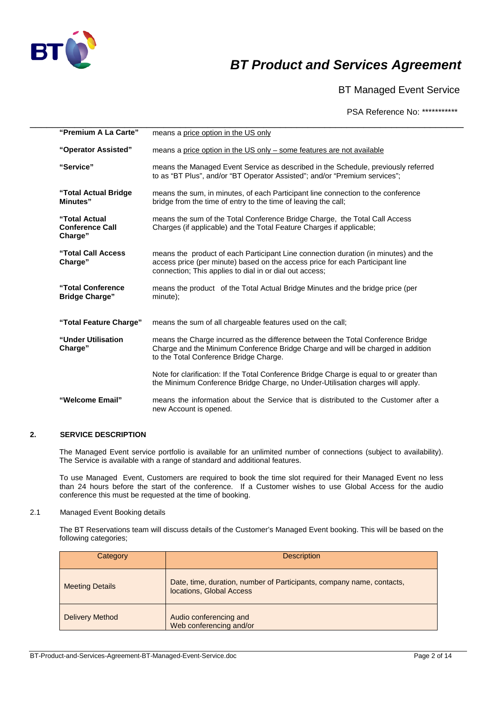

BT Managed Event Service

PSA Reference No: \*\*\*\*\*\*\*\*\*\*\*

| "Premium A La Carte"                               | means a price option in the US only                                                                                                                                                                                             |
|----------------------------------------------------|---------------------------------------------------------------------------------------------------------------------------------------------------------------------------------------------------------------------------------|
| "Operator Assisted"                                | means a price option in the US only – some features are not available                                                                                                                                                           |
| "Service"                                          | means the Managed Event Service as described in the Schedule, previously referred<br>to as "BT Plus", and/or "BT Operator Assisted"; and/or "Premium services";                                                                 |
| "Total Actual Bridge<br>Minutes"                   | means the sum, in minutes, of each Participant line connection to the conference<br>bridge from the time of entry to the time of leaving the call;                                                                              |
| "Total Actual<br><b>Conference Call</b><br>Charge" | means the sum of the Total Conference Bridge Charge, the Total Call Access<br>Charges (if applicable) and the Total Feature Charges if applicable;                                                                              |
| "Total Call Access<br>Charge"                      | means the product of each Participant Line connection duration (in minutes) and the<br>access price (per minute) based on the access price for each Participant line<br>connection; This applies to dial in or dial out access; |
| "Total Conference"<br><b>Bridge Charge"</b>        | means the product of the Total Actual Bridge Minutes and the bridge price (per<br>minute);                                                                                                                                      |
| "Total Feature Charge"                             | means the sum of all chargeable features used on the call;                                                                                                                                                                      |
| "Under Utilisation<br>Charge"                      | means the Charge incurred as the difference between the Total Conference Bridge<br>Charge and the Minimum Conference Bridge Charge and will be charged in addition<br>to the Total Conference Bridge Charge.                    |
|                                                    | Note for clarification: If the Total Conference Bridge Charge is equal to or greater than<br>the Minimum Conference Bridge Charge, no Under-Utilisation charges will apply.                                                     |
| "Welcome Email"                                    | means the information about the Service that is distributed to the Customer after a<br>new Account is opened.                                                                                                                   |

### **2. SERVICE DESCRIPTION**

The Managed Event service portfolio is available for an unlimited number of connections (subject to availability). The Service is available with a range of standard and additional features.

To use Managed Event, Customers are required to book the time slot required for their Managed Event no less than 24 hours before the start of the conference. If a Customer wishes to use Global Access for the audio conference this must be requested at the time of booking.

2.1 Managed Event Booking details

The BT Reservations team will discuss details of the Customer's Managed Event booking. This will be based on the following categories;

| Category               | <b>Description</b>                                                                                |
|------------------------|---------------------------------------------------------------------------------------------------|
| <b>Meeting Details</b> | Date, time, duration, number of Participants, company name, contacts,<br>locations, Global Access |
| <b>Delivery Method</b> | Audio conferencing and<br>Web conferencing and/or                                                 |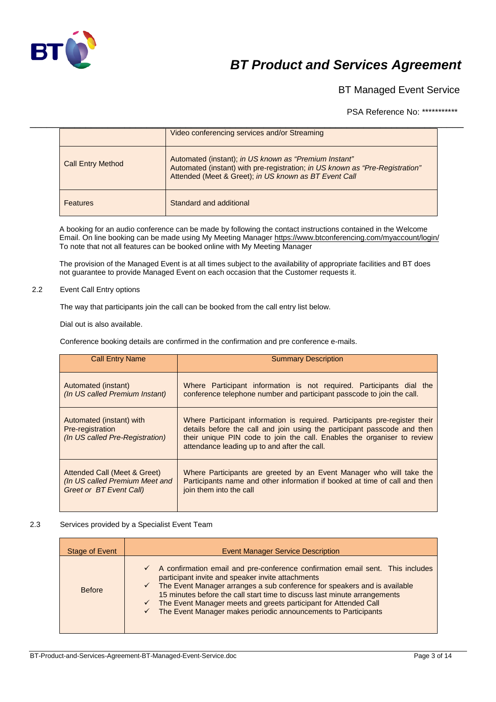

BT Managed Event Service

PSA Reference No: \*\*\*\*\*\*\*\*\*\*\*

|                          | Video conferencing services and/or Streaming                                                                                                                                                   |  |
|--------------------------|------------------------------------------------------------------------------------------------------------------------------------------------------------------------------------------------|--|
| <b>Call Entry Method</b> | Automated (instant); in US known as "Premium Instant"<br>Automated (instant) with pre-registration; in US known as "Pre-Registration"<br>Attended (Meet & Greet); in US known as BT Event Call |  |
| <b>Features</b>          | Standard and additional                                                                                                                                                                        |  |

A booking for an audio conference can be made by following the contact instructions contained in the Welcome Email. On line booking can be made using My Meeting Manage[r https://www.btconferencing.com/myaccount/login/](https://www.btconferencing.com/myaccount/login/) To note that not all features can be booked online with My Meeting Manager

The provision of the Managed Event is at all times subject to the availability of appropriate facilities and BT does not guarantee to provide Managed Event on each occasion that the Customer requests it.

### 2.2 Event Call Entry options

The way that participants join the call can be booked from the call entry list below.

Dial out is also available.

Conference booking details are confirmed in the confirmation and pre conference e-mails.

| <b>Call Entry Name</b>                                                          | <b>Summary Description</b>                                                                                                                                                                                                                                                        |
|---------------------------------------------------------------------------------|-----------------------------------------------------------------------------------------------------------------------------------------------------------------------------------------------------------------------------------------------------------------------------------|
| Automated (instant)                                                             | Where Participant information is not required. Participants dial the                                                                                                                                                                                                              |
| (In US called Premium Instant)                                                  | conference telephone number and participant passcode to join the call.                                                                                                                                                                                                            |
| Automated (instant) with<br>Pre-registration<br>(In US called Pre-Registration) | Where Participant information is required. Participants pre-register their<br>details before the call and join using the participant passcode and then<br>their unique PIN code to join the call. Enables the organiser to review<br>attendance leading up to and after the call. |
| Attended Call (Meet & Greet)                                                    | Where Participants are greeted by an Event Manager who will take the                                                                                                                                                                                                              |
| (In US called Premium Meet and                                                  | Participants name and other information if booked at time of call and then                                                                                                                                                                                                        |
| Greet or BT Event Call)                                                         | join them into the call                                                                                                                                                                                                                                                           |

### 2.3 Services provided by a Specialist Event Team

| Stage of Event | <b>Event Manager Service Description</b>                                                                                                                                                                                                                                                                                                                                                                                                                                                      |
|----------------|-----------------------------------------------------------------------------------------------------------------------------------------------------------------------------------------------------------------------------------------------------------------------------------------------------------------------------------------------------------------------------------------------------------------------------------------------------------------------------------------------|
| <b>Before</b>  | $\checkmark$ A confirmation email and pre-conference confirmation email sent. This includes<br>participant invite and speaker invite attachments<br>$\checkmark$ The Event Manager arranges a sub conference for speakers and is available<br>15 minutes before the call start time to discuss last minute arrangements<br>The Event Manager meets and greets participant for Attended Call<br>$\checkmark$<br>The Event Manager makes periodic announcements to Participants<br>$\checkmark$ |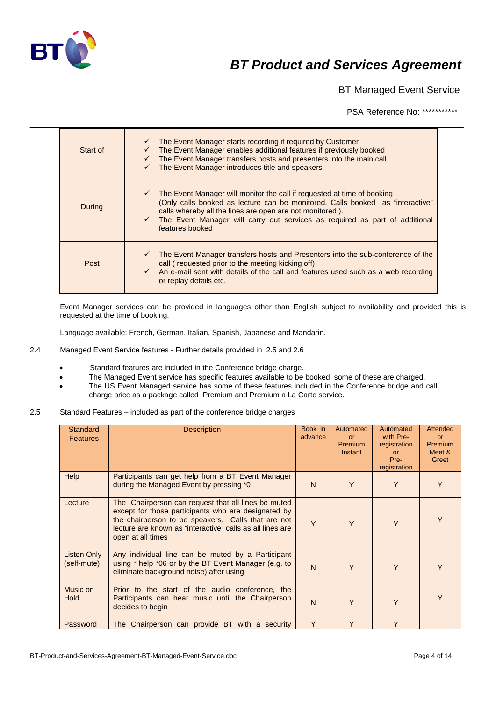

BT Managed Event Service

PSA Reference No: \*\*\*\*\*\*\*\*\*\*\*

| Start of | $\checkmark$ The Event Manager starts recording if required by Customer<br>$\checkmark$ The Event Manager enables additional features if previously booked<br>The Event Manager transfers hosts and presenters into the main call<br>The Event Manager introduces title and speakers                                                             |
|----------|--------------------------------------------------------------------------------------------------------------------------------------------------------------------------------------------------------------------------------------------------------------------------------------------------------------------------------------------------|
| During   | $\checkmark$ The Event Manager will monitor the call if requested at time of booking<br>(Only calls booked as lecture can be monitored. Calls booked as "interactive"<br>calls whereby all the lines are open are not monitored).<br>$\checkmark$ The Event Manager will carry out services as required as part of additional<br>features booked |
| Post     | $\checkmark$ The Event Manager transfers hosts and Presenters into the sub-conference of the<br>call (requested prior to the meeting kicking off)<br>$\checkmark$ An e-mail sent with details of the call and features used such as a web recording<br>or replay details etc.                                                                    |

\_\_\_\_\_\_\_\_\_\_\_\_\_\_\_\_\_\_\_\_\_\_\_\_\_\_\_\_\_\_\_\_\_\_\_\_\_\_\_\_\_\_\_\_\_\_\_\_\_\_\_\_\_\_\_\_\_\_\_\_\_\_\_\_\_\_\_\_\_\_\_\_\_\_\_\_\_\_

Event Manager services can be provided in languages other than English subject to availability and provided this is requested at the time of booking.

Language available: French, German, Italian, Spanish, Japanese and Mandarin.

- 2.4 Managed Event Service features Further details provided in 2.5 and 2.6
	- Standard features are included in the Conference bridge charge.
	- The Managed Event service has specific features available to be booked, some of these are charged.
	- The US Event Managed service has some of these features included in the Conference bridge and call charge price as a package called Premium and Premium a La Carte service.
- 2.5 Standard Features included as part of the conference bridge charges

| <b>Standard</b><br><b>Features</b> | <b>Description</b>                                                                                                                                                                                                                                 | Book in<br>advance | Automated<br>or<br><b>Premium</b><br>Instant | Automated<br>with Pre-<br>registration<br><b>or</b><br>Pre-<br>registration | <b>Attended</b><br><b>or</b><br>Premium<br>Meet &<br>Greet |
|------------------------------------|----------------------------------------------------------------------------------------------------------------------------------------------------------------------------------------------------------------------------------------------------|--------------------|----------------------------------------------|-----------------------------------------------------------------------------|------------------------------------------------------------|
| <b>Help</b>                        | Participants can get help from a BT Event Manager<br>during the Managed Event by pressing *0                                                                                                                                                       | N                  | Y                                            | Y                                                                           | Y                                                          |
| Lecture                            | The Chairperson can request that all lines be muted<br>except for those participants who are designated by<br>the chairperson to be speakers. Calls that are not<br>lecture are known as "interactive" calls as all lines are<br>open at all times | Y                  | Y                                            | Y                                                                           | Y                                                          |
| Listen Only<br>(self-mute)         | Any individual line can be muted by a Participant<br>using * help *06 or by the BT Event Manager (e.g. to<br>eliminate background noise) after using                                                                                               | $\mathsf{N}$       | Y                                            | Y                                                                           | Y                                                          |
| Music on<br><b>Hold</b>            | Prior to the start of the audio conference, the<br>Participants can hear music until the Chairperson<br>decides to begin                                                                                                                           | $\mathsf{N}$       | Y                                            | Y                                                                           | Y                                                          |
| Password                           | The Chairperson can provide BT with a security                                                                                                                                                                                                     | Y                  | Y                                            | Y                                                                           |                                                            |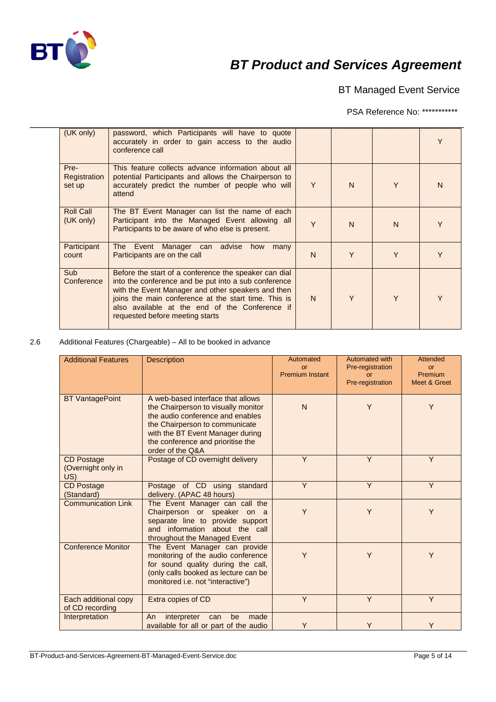

BT Managed Event Service

PSA Reference No: \*\*\*\*\*\*\*\*\*\*\*

| (UK only)                      | password, which Participants will have to quote<br>accurately in order to gain access to the audio<br>conference call                                                                                                                                                                                            |    |              |              |   |
|--------------------------------|------------------------------------------------------------------------------------------------------------------------------------------------------------------------------------------------------------------------------------------------------------------------------------------------------------------|----|--------------|--------------|---|
| Pre-<br>Registration<br>set up | This feature collects advance information about all<br>potential Participants and allows the Chairperson to<br>accurately predict the number of people who will<br>attend                                                                                                                                        | Y  | N            | Y            | N |
| <b>Roll Call</b><br>(UK only)  | The BT Event Manager can list the name of each<br>Participant into the Managed Event allowing all<br>Participants to be aware of who else is present.                                                                                                                                                            | Y  | $\mathsf{N}$ | $\mathsf{N}$ |   |
| Participant<br>count           | The Event Manager can advise how many<br>Participants are on the call                                                                                                                                                                                                                                            | N. | Y            | Y            | Y |
| <b>Sub</b><br>Conference       | Before the start of a conference the speaker can dial<br>into the conference and be put into a sub conference<br>with the Event Manager and other speakers and then<br>joins the main conference at the start time. This is<br>also available at the end of the Conference if<br>requested before meeting starts | N. | Y            | Y            |   |

### 2.6 Additional Features (Chargeable) – All to be booked in advance

| <b>Additional Features</b>                     | <b>Description</b>                                                                                                                                                                                                                          | Automated<br>or<br><b>Premium Instant</b> | Automated with<br>Pre-registration<br><b>or</b><br>Pre-registration | Attended<br>or<br>Premium<br>Meet & Greet |
|------------------------------------------------|---------------------------------------------------------------------------------------------------------------------------------------------------------------------------------------------------------------------------------------------|-------------------------------------------|---------------------------------------------------------------------|-------------------------------------------|
| <b>BT</b> VantagePoint                         | A web-based interface that allows<br>the Chairperson to visually monitor<br>the audio conference and enables<br>the Chairperson to communicate<br>with the BT Event Manager during<br>the conference and prioritise the<br>order of the Q&A | N                                         | Y                                                                   | Y                                         |
| <b>CD Postage</b><br>(Overnight only in<br>US) | Postage of CD overnight delivery                                                                                                                                                                                                            | Y                                         | Y                                                                   | Y                                         |
| <b>CD Postage</b><br>(Standard)                | Postage of CD using standard<br>delivery. (APAC 48 hours)                                                                                                                                                                                   | Y                                         | Y                                                                   | Y                                         |
| <b>Communication Link</b>                      | The Event Manager can call the<br>Chairperson or speaker on a<br>separate line to provide support<br>and information about the call<br>throughout the Managed Event                                                                         | Y                                         | Y                                                                   | Y                                         |
| <b>Conference Monitor</b>                      | The Event Manager can provide<br>monitoring of the audio conference<br>for sound quality during the call,<br>(only calls booked as lecture can be<br>monitored i.e. not "interactive")                                                      | Y                                         | Y                                                                   | Y                                         |
| Each additional copy<br>of CD recording        | Extra copies of CD                                                                                                                                                                                                                          | Y                                         | Y                                                                   | Y                                         |
| Interpretation                                 | made<br>interpreter<br>be<br>An<br>can<br>available for all or part of the audio                                                                                                                                                            | Y                                         | Y                                                                   | Y                                         |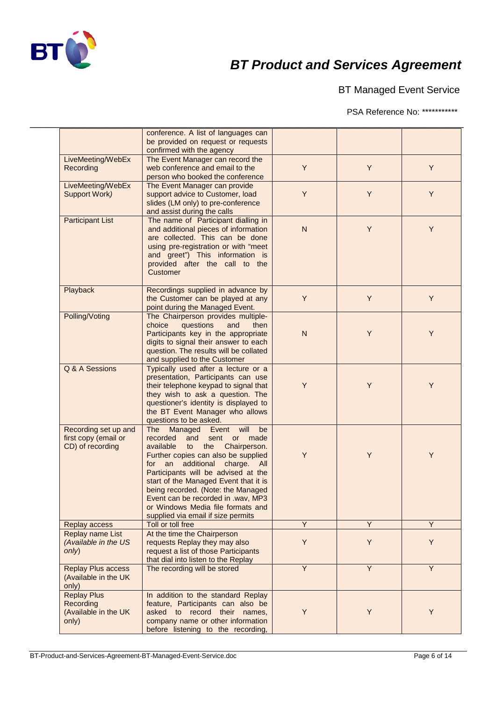

BT Managed Event Service

PSA Reference No: \*\*\*\*\*\*\*\*\*\*\*

|                           | conference. A list of languages can    |                |                |   |
|---------------------------|----------------------------------------|----------------|----------------|---|
|                           | be provided on request or requests     |                |                |   |
|                           | confirmed with the agency              |                |                |   |
| LiveMeeting/WebEx         | The Event Manager can record the       |                |                |   |
| Recording                 | web conference and email to the        | Y              | Y              | Y |
|                           | person who booked the conference       |                |                |   |
| LiveMeeting/WebEx         | The Event Manager can provide          |                |                |   |
| Support Work)             | support advice to Customer, load       | Y              | Y              | Y |
|                           | slides (LM only) to pre-conference     |                |                |   |
|                           | and assist during the calls            |                |                |   |
| <b>Participant List</b>   | The name of Participant dialling in    |                |                |   |
|                           | and additional pieces of information   | ${\sf N}$      | Y              | Y |
|                           | are collected. This can be done        |                |                |   |
|                           | using pre-registration or with "meet   |                |                |   |
|                           | and greet") This information is        |                |                |   |
|                           | provided after the call to the         |                |                |   |
|                           | Customer                               |                |                |   |
|                           |                                        |                |                |   |
|                           | Recordings supplied in advance by      |                |                |   |
| Playback                  |                                        | Y              | Y              | Y |
|                           | the Customer can be played at any      |                |                |   |
|                           | point during the Managed Event.        |                |                |   |
| Polling/Voting            | The Chairperson provides multiple-     |                |                |   |
|                           | choice<br>questions<br>and<br>then     |                |                |   |
|                           | Participants key in the appropriate    | $\mathsf{N}$   | Y              | Y |
|                           | digits to signal their answer to each  |                |                |   |
|                           | question. The results will be collated |                |                |   |
|                           | and supplied to the Customer           |                |                |   |
| Q & A Sessions            | Typically used after a lecture or a    |                |                |   |
|                           | presentation, Participants can use     |                |                |   |
|                           | their telephone keypad to signal that  | Y              | Y              | Y |
|                           | they wish to ask a question. The       |                |                |   |
|                           | questioner's identity is displayed to  |                |                |   |
|                           | the BT Event Manager who allows        |                |                |   |
|                           | questions to be asked.                 |                |                |   |
| Recording set up and      | The<br>Managed Event will<br>be        |                |                |   |
| first copy (email or      | recorded<br>sent or made<br>and        |                |                |   |
| CD) of recording          | available<br>to<br>the Chairperson.    |                |                |   |
|                           | Further copies can also be supplied    | Y              | Y              | Y |
|                           | for an additional charge. All          |                |                |   |
|                           | Participants will be advised at the    |                |                |   |
|                           | start of the Managed Event that it is  |                |                |   |
|                           | being recorded. (Note: the Managed     |                |                |   |
|                           | Event can be recorded in .wav, MP3     |                |                |   |
|                           | or Windows Media file formats and      |                |                |   |
|                           | supplied via email if size permits     |                |                |   |
| Replay access             | Toll or toll free                      | Y              | $\overline{Y}$ | Y |
| Replay name List          | At the time the Chairperson            |                |                |   |
| (Available in the US      | requests Replay they may also          | Y              | Y              | Y |
|                           |                                        |                |                |   |
| only)                     | request a list of those Participants   |                |                |   |
|                           | that dial into listen to the Replay    |                |                |   |
| <b>Replay Plus access</b> | The recording will be stored           | $\overline{Y}$ | Y              | Y |
| (Available in the UK      |                                        |                |                |   |
| only)                     |                                        |                |                |   |
| <b>Replay Plus</b>        | In addition to the standard Replay     |                |                |   |
| Recording                 | feature, Participants can also be      |                |                |   |
| (Available in the UK      | asked to record their names,           | Y              | Y              | Y |
| only)                     | company name or other information      |                |                |   |
|                           |                                        |                |                |   |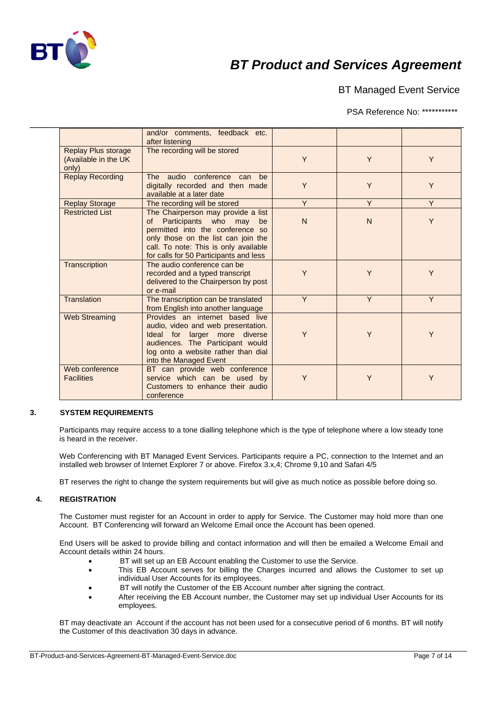

BT Managed Event Service

PSA Reference No: \*\*\*\*\*\*\*\*\*\*\*

|                                                             | and/or comments, feedback etc.<br>after listening                                                                                                                                                                                    |              |              |   |
|-------------------------------------------------------------|--------------------------------------------------------------------------------------------------------------------------------------------------------------------------------------------------------------------------------------|--------------|--------------|---|
| <b>Replay Plus storage</b><br>(Available in the UK<br>only) | The recording will be stored                                                                                                                                                                                                         | Y            | Y            | Y |
| <b>Replay Recording</b>                                     | The audio conference can<br>be<br>digitally recorded and then made<br>available at a later date                                                                                                                                      | Y            | Y            | Y |
| <b>Replay Storage</b>                                       | The recording will be stored                                                                                                                                                                                                         | Y            | Y            | Y |
| <b>Restricted List</b>                                      | The Chairperson may provide a list<br>Participants who may<br>of<br>be<br>permitted into the conference so<br>only those on the list can join the<br>call. To note: This is only available<br>for calls for 50 Participants and less | $\mathsf{N}$ | $\mathsf{N}$ | Y |
| Transcription                                               | The audio conference can be<br>recorded and a typed transcript<br>delivered to the Chairperson by post<br>or e-mail                                                                                                                  | Y            | Y            | Y |
| Translation                                                 | The transcription can be translated<br>from English into another language                                                                                                                                                            | Y            | Y            | Y |
| <b>Web Streaming</b>                                        | Provides an internet based live<br>audio, video and web presentation.<br>Ideal for larger more diverse<br>audiences. The Participant would<br>log onto a website rather than dial<br>into the Managed Event                          | Y            | Y            | Y |
| Web conference<br><b>Facilities</b>                         | BT can provide web conference<br>service which can be used by<br>Customers to enhance their audio<br>conference                                                                                                                      | Y            | Y            | Y |

### **3. SYSTEM REQUIREMENTS**

Participants may require access to a tone dialling telephone which is the type of telephone where a low steady tone is heard in the receiver.

Web Conferencing with BT Managed Event Services. Participants require a PC, connection to the Internet and an installed web browser of Internet Explorer 7 or above. Firefox 3.x,4; Chrome 9,10 and Safari 4/5

BT reserves the right to change the system requirements but will give as much notice as possible before doing so.

### **4. REGISTRATION**

The Customer must register for an Account in order to apply for Service. The Customer may hold more than one Account. BT Conferencing will forward an Welcome Email once the Account has been opened.

End Users will be asked to provide billing and contact information and will then be emailed a Welcome Email and Account details within 24 hours.

- BT will set up an EB Account enabling the Customer to use the Service.
- This EB Account serves for billing the Charges incurred and allows the Customer to set up individual User Accounts for its employees.
- BT will notify the Customer of the EB Account number after signing the contract.
- After receiving the EB Account number, the Customer may set up individual User Accounts for its employees.

BT may deactivate an Account if the account has not been used for a consecutive period of 6 months. BT will notify the Customer of this deactivation 30 days in advance.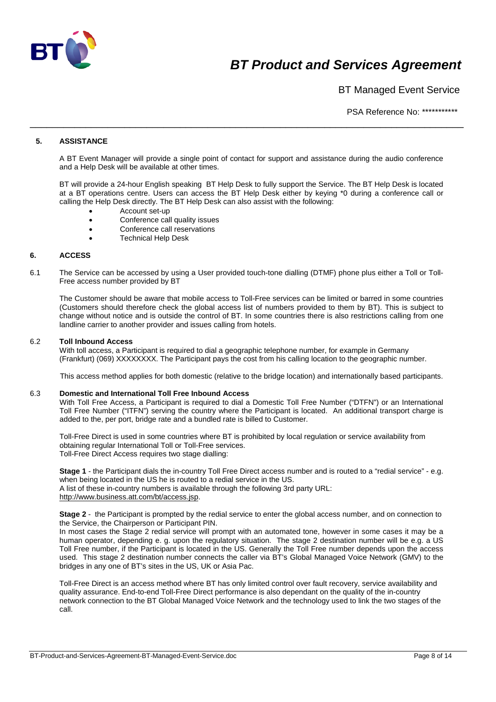

BT Managed Event Service

PSA Reference No: \*\*\*\*\*\*\*\*\*\*\*

## **5. ASSISTANCE**

A BT Event Manager will provide a single point of contact for support and assistance during the audio conference and a Help Desk will be available at other times.

\_\_\_\_\_\_\_\_\_\_\_\_\_\_\_\_\_\_\_\_\_\_\_\_\_\_\_\_\_\_\_\_\_\_\_\_\_\_\_\_\_\_\_\_\_\_\_\_\_\_\_\_\_\_\_\_\_\_\_\_\_\_\_\_\_\_\_\_\_\_\_\_\_\_\_\_\_\_

BT will provide a 24-hour English speaking BT Help Desk to fully support the Service. The BT Help Desk is located at a BT operations centre. Users can access the BT Help Desk either by keying \*0 during a conference call or calling the Help Desk directly. The BT Help Desk can also assist with the following:

- Account set-up
- Conference call quality issues
- Conference call reservations
- Technical Help Desk

### **6. ACCESS**

6.1 The Service can be accessed by using a User provided touch-tone dialling (DTMF) phone plus either a Toll or Toll-Free access number provided by BT

The Customer should be aware that mobile access to Toll-Free services can be limited or barred in some countries (Customers should therefore check the global access list of numbers provided to them by BT). This is subject to change without notice and is outside the control of BT. In some countries there is also restrictions calling from one landline carrier to another provider and issues calling from hotels.

### 6.2 **Toll Inbound Access**

With toll access, a Participant is required to dial a geographic telephone number, for example in Germany (Frankfurt) (069) XXXXXXXX. The Participant pays the cost from his calling location to the geographic number.

This access method applies for both domestic (relative to the bridge location) and internationally based participants.

#### 6.3 **Domestic and International Toll Free Inbound Access**

With Toll Free Access, a Participant is required to dial a Domestic Toll Free Number ("DTFN") or an International Toll Free Number ("ITFN") serving the country where the Participant is located. An additional transport charge is added to the, per port, bridge rate and a bundled rate is billed to Customer.

Toll-Free Direct is used in some countries where BT is prohibited by local regulation or service availability from obtaining regular International Toll or Toll-Free services. Toll-Free Direct Access requires two stage dialling:

**Stage 1** - the Participant dials the in-country Toll Free Direct access number and is routed to a "redial service" - e.g. when being located in the US he is routed to a redial service in the US. A list of these in-country numbers is available through the following 3rd party URL: [http://www.business.att.com/bt/access.jsp.](http://www.business.att.com/bt/access.jsp)

**Stage 2** - the Participant is prompted by the redial service to enter the global access number, and on connection to the Service, the Chairperson or Participant PIN.

In most cases the Stage 2 redial service will prompt with an automated tone, however in some cases it may be a human operator, depending e. g. upon the regulatory situation. The stage 2 destination number will be e.g. a US Toll Free number, if the Participant is located in the US. Generally the Toll Free number depends upon the access used. This stage 2 destination number connects the caller via BT's Global Managed Voice Network (GMV) to the bridges in any one of BT's sites in the US, UK or Asia Pac.

Toll-Free Direct is an access method where BT has only limited control over fault recovery, service availability and quality assurance. End-to-end Toll-Free Direct performance is also dependant on the quality of the in-country network connection to the BT Global Managed Voice Network and the technology used to link the two stages of the call.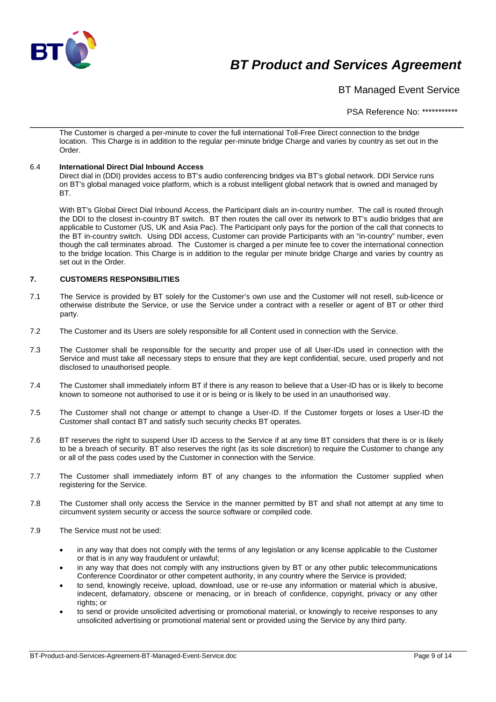

BT Managed Event Service

PSA Reference No: \*\*\*\*\*\*\*\*\*\*\*

\_\_\_\_\_\_\_\_\_\_\_\_\_\_\_\_\_\_\_\_\_\_\_\_\_\_\_\_\_\_\_\_\_\_\_\_\_\_\_\_\_\_\_\_\_\_\_\_\_\_\_\_\_\_\_\_\_\_\_\_\_\_\_\_\_\_\_\_\_\_\_\_\_\_\_\_\_\_ The Customer is charged a per-minute to cover the full international Toll-Free Direct connection to the bridge location. This Charge is in addition to the regular per-minute bridge Charge and varies by country as set out in the Order.

### 6.4 **International Direct Dial Inbound Access**

Direct dial in (DDI) provides access to BT's audio conferencing bridges via BT's global network. DDI Service runs on BT's global managed voice platform, which is a robust intelligent global network that is owned and managed by BT.

With BT's Global Direct Dial Inbound Access, the Participant dials an in-country number. The call is routed through the DDI to the closest in-country BT switch. BT then routes the call over its network to BT's audio bridges that are applicable to Customer (US, UK and Asia Pac). The Participant only pays for the portion of the call that connects to the BT in-country switch. Using DDI access, Customer can provide Participants with an "in-country" number, even though the call terminates abroad. The Customer is charged a per minute fee to cover the international connection to the bridge location. This Charge is in addition to the regular per minute bridge Charge and varies by country as set out in the Order.

### **7. CUSTOMERS RESPONSIBILITIES**

- 7.1 The Service is provided by BT solely for the Customer's own use and the Customer will not resell, sub-licence or otherwise distribute the Service, or use the Service under a contract with a reseller or agent of BT or other third party.
- 7.2 The Customer and its Users are solely responsible for all Content used in connection with the Service.
- 7.3 The Customer shall be responsible for the security and proper use of all User-IDs used in connection with the Service and must take all necessary steps to ensure that they are kept confidential, secure, used properly and not disclosed to unauthorised people.
- 7.4 The Customer shall immediately inform BT if there is any reason to believe that a User-ID has or is likely to become known to someone not authorised to use it or is being or is likely to be used in an unauthorised way.
- 7.5 The Customer shall not change or attempt to change a User-ID. If the Customer forgets or loses a User-ID the Customer shall contact BT and satisfy such security checks BT operates.
- 7.6 BT reserves the right to suspend User ID access to the Service if at any time BT considers that there is or is likely to be a breach of security. BT also reserves the right (as its sole discretion) to require the Customer to change any or all of the pass codes used by the Customer in connection with the Service.
- 7.7 The Customer shall immediately inform BT of any changes to the information the Customer supplied when registering for the Service.
- 7.8 The Customer shall only access the Service in the manner permitted by BT and shall not attempt at any time to circumvent system security or access the source software or compiled code.
- 7.9 The Service must not be used:
	- in any way that does not comply with the terms of any legislation or any license applicable to the Customer or that is in any way fraudulent or unlawful;
	- in any way that does not comply with any instructions given by BT or any other public telecommunications Conference Coordinator or other competent authority, in any country where the Service is provided;
	- to send, knowingly receive, upload, download, use or re-use any information or material which is abusive, indecent, defamatory, obscene or menacing, or in breach of confidence, copyright, privacy or any other rights; or
	- to send or provide unsolicited advertising or promotional material, or knowingly to receive responses to any unsolicited advertising or promotional material sent or provided using the Service by any third party.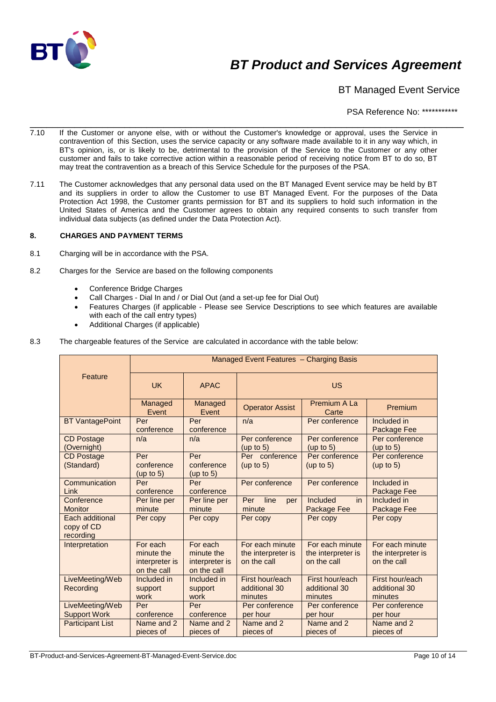

BT Managed Event Service

PSA Reference No: \*\*\*\*\*\*\*\*\*\*\*

- \_\_\_\_\_\_\_\_\_\_\_\_\_\_\_\_\_\_\_\_\_\_\_\_\_\_\_\_\_\_\_\_\_\_\_\_\_\_\_\_\_\_\_\_\_\_\_\_\_\_\_\_\_\_\_\_\_\_\_\_\_\_\_\_\_\_\_\_\_\_\_\_\_\_\_\_\_\_ 7.10 If the Customer or anyone else, with or without the Customer's knowledge or approval, uses the Service in contravention of this Section, uses the service capacity or any software made available to it in any way which, in BT's opinion, is, or is likely to be, detrimental to the provision of the Service to the Customer or any other customer and fails to take corrective action within a reasonable period of receiving notice from BT to do so, BT may treat the contravention as a breach of this Service Schedule for the purposes of the PSA.
- 7.11 The Customer acknowledges that any personal data used on the BT Managed Event service may be held by BT and its suppliers in order to allow the Customer to use BT Managed Event. For the purposes of the Data Protection Act 1998, the Customer grants permission for BT and its suppliers to hold such information in the United States of America and the Customer agrees to obtain any required consents to such transfer from individual data subjects (as defined under the Data Protection Act).

### **8. CHARGES AND PAYMENT TERMS**

- 8.1 Charging will be in accordance with the PSA.
- 8.2 Charges for the Service are based on the following components
	- Conference Bridge Charges
	- Call Charges Dial In and / or Dial Out (and a set-up fee for Dial Out)
	- Features Charges (if applicable Please see Service Descriptions to see which features are available with each of the call entry types)
	- Additional Charges (if applicable)
- 8.3 The chargeable features of the Service are calculated in accordance with the table below:

|                                            | Managed Event Features - Charging Basis                 |                                                         |                                                      |                                                      |                                                      |
|--------------------------------------------|---------------------------------------------------------|---------------------------------------------------------|------------------------------------------------------|------------------------------------------------------|------------------------------------------------------|
| Feature                                    | <b>UK</b>                                               | <b>APAC</b>                                             | <b>US</b>                                            |                                                      |                                                      |
|                                            | Managed<br>Event                                        | Managed<br>Event                                        | <b>Operator Assist</b>                               | Premium A La<br>Carte                                | Premium                                              |
| <b>BT</b> VantagePoint                     | Per<br>conference                                       | Per<br>conference                                       | n/a                                                  | Per conference                                       | Included in<br>Package Fee                           |
| <b>CD Postage</b><br>(Overnight)           | n/a                                                     | n/a                                                     | Per conference<br>(up to $5$ )                       | Per conference<br>(up to $5$ )                       | Per conference<br>(up to 5)                          |
| <b>CD Postage</b><br>(Standard)            | Per<br>conference<br>(up to 5)                          | Per<br>conference<br>(up to $5$ )                       | Per conference<br>(up to $5$ )                       | Per conference<br>(up to 5)                          | Per conference<br>(up to $5$ )                       |
| Communication<br>Link                      | Per<br>conference                                       | Per<br>conference                                       | Per conference                                       | Per conference                                       | Included in<br>Package Fee                           |
| Conference<br><b>Monitor</b>               | Per line per<br>minute                                  | Per line per<br>minute                                  | line<br>Per<br>per<br>minute                         | Included<br>in.<br>Package Fee                       | Included in<br>Package Fee                           |
| Each additional<br>copy of CD<br>recording | Per copy                                                | Per copy                                                | Per copy                                             | Per copy                                             | Per copy                                             |
| Interpretation                             | For each<br>minute the<br>interpreter is<br>on the call | For each<br>minute the<br>interpreter is<br>on the call | For each minute<br>the interpreter is<br>on the call | For each minute<br>the interpreter is<br>on the call | For each minute<br>the interpreter is<br>on the call |
| LiveMeeting/Web<br>Recording               | Included in<br>support<br>work                          | Included in<br>support<br>work                          | First hour/each<br>additional 30<br>minutes          | First hour/each<br>additional 30<br>minutes          | First hour/each<br>additional 30<br>minutes          |
| LiveMeeting/Web<br><b>Support Work</b>     | Per<br>conference                                       | Per<br>conference                                       | Per conference<br>per hour                           | Per conference<br>per hour                           | Per conference<br>per hour                           |
| <b>Participant List</b>                    | Name and 2<br>pieces of                                 | Name and 2<br>pieces of                                 | Name and 2<br>pieces of                              | Name and 2<br>pieces of                              | Name and 2<br>pieces of                              |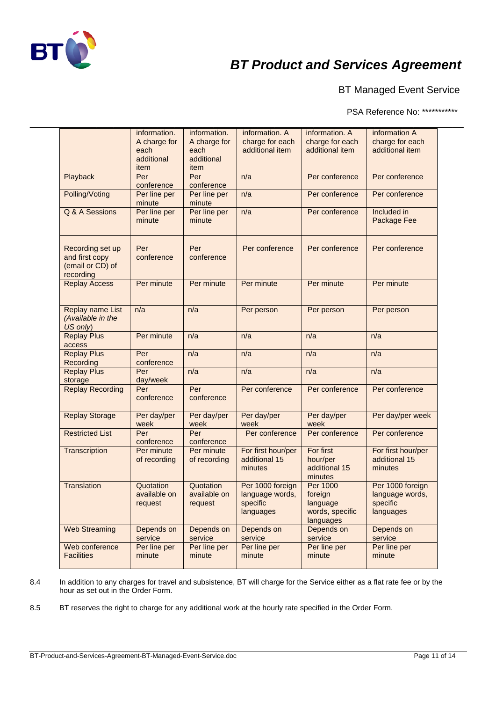

BT Managed Event Service

PSA Reference No: \*\*\*\*\*\*\*\*\*\*\*

|                                                                     | information.                               | information.                               | information. A                                               | information. A                                                  | information A                                                |
|---------------------------------------------------------------------|--------------------------------------------|--------------------------------------------|--------------------------------------------------------------|-----------------------------------------------------------------|--------------------------------------------------------------|
|                                                                     | A charge for<br>each<br>additional<br>item | A charge for<br>each<br>additional<br>item | charge for each<br>additional item                           | charge for each<br>additional item                              | charge for each<br>additional item                           |
| Playback                                                            | Per<br>conference                          | Per<br>conference                          | n/a                                                          | Per conference                                                  | Per conference                                               |
| Polling/Voting                                                      | Per line per<br>minute                     | Per line per<br>minute                     | n/a                                                          | Per conference                                                  | Per conference                                               |
| Q & A Sessions                                                      | Per line per<br>minute                     | Per line per<br>minute                     | n/a                                                          | Per conference                                                  | Included in<br>Package Fee                                   |
| Recording set up<br>and first copy<br>(email or CD) of<br>recording | Per<br>conference                          | Per<br>conference                          | Per conference                                               | Per conference                                                  | Per conference                                               |
| <b>Replay Access</b>                                                | Per minute                                 | Per minute                                 | Per minute                                                   | Per minute                                                      | Per minute                                                   |
| Replay name List<br>(Available in the<br>US only)                   | n/a                                        | n/a                                        | Per person                                                   | Per person                                                      | Per person                                                   |
| <b>Replay Plus</b><br>access                                        | Per minute                                 | n/a                                        | n/a                                                          | n/a                                                             | n/a                                                          |
| <b>Replay Plus</b><br>Recording                                     | Per<br>conference                          | n/a                                        | n/a                                                          | n/a                                                             | n/a                                                          |
| <b>Replay Plus</b><br>storage                                       | Per<br>day/week                            | n/a                                        | n/a                                                          | n/a                                                             | n/a                                                          |
| <b>Replay Recording</b>                                             | Per<br>conference                          | Per<br>conference                          | Per conference                                               | Per conference                                                  | Per conference                                               |
| <b>Replay Storage</b>                                               | Per day/per<br>week                        | Per day/per<br>week                        | Per day/per<br>week                                          | Per day/per<br>week                                             | Per day/per week                                             |
| <b>Restricted List</b>                                              | Per<br>conference                          | Per<br>conference                          | Per conference                                               | Per conference                                                  | Per conference                                               |
| Transcription                                                       | Per minute<br>of recording                 | Per minute<br>of recording                 | For first hour/per<br>additional 15<br>minutes               | For first<br>hour/per<br>additional 15<br>minutes               | For first hour/per<br>additional 15<br>minutes               |
| Translation                                                         | Quotation<br>available on<br>request       | Quotation<br>available on<br>request       | Per 1000 foreign<br>language words,<br>specific<br>languages | Per 1000<br>foreign<br>language<br>words, specific<br>languages | Per 1000 foreign<br>language words,<br>specific<br>languages |
| <b>Web Streaming</b>                                                | Depends on<br>service                      | Depends on<br>service                      | Depends on<br>service                                        | Depends on<br>service                                           | Depends on<br>service                                        |
| Web conference                                                      | Per line per                               | Per line per                               | Per line per                                                 | Per line per                                                    | Per line per                                                 |

8.4 In addition to any charges for travel and subsistence, BT will charge for the Service either as a flat rate fee or by the hour as set out in the Order Form.

8.5 BT reserves the right to charge for any additional work at the hourly rate specified in the Order Form.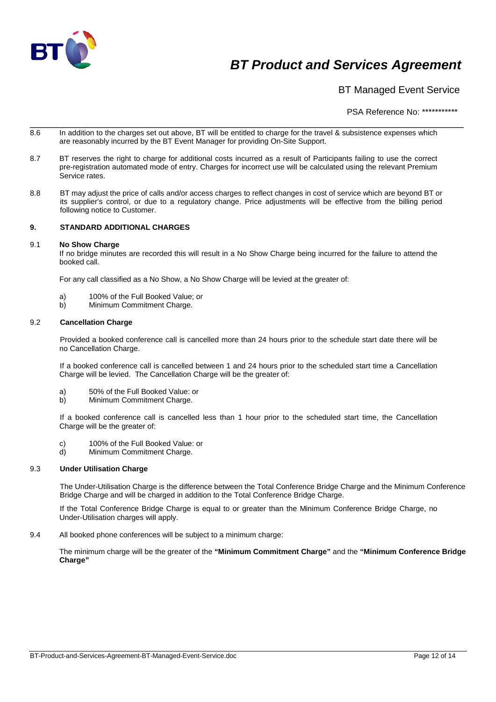

BT Managed Event Service

PSA Reference No: \*\*\*\*\*\*\*\*\*\*\*

- \_\_\_\_\_\_\_\_\_\_\_\_\_\_\_\_\_\_\_\_\_\_\_\_\_\_\_\_\_\_\_\_\_\_\_\_\_\_\_\_\_\_\_\_\_\_\_\_\_\_\_\_\_\_\_\_\_\_\_\_\_\_\_\_\_\_\_\_\_\_\_\_\_\_\_\_\_\_ 8.6 In addition to the charges set out above, BT will be entitled to charge for the travel & subsistence expenses which are reasonably incurred by the BT Event Manager for providing On-Site Support.
- 8.7 BT reserves the right to charge for additional costs incurred as a result of Participants failing to use the correct pre-registration automated mode of entry. Charges for incorrect use will be calculated using the relevant Premium Service rates.
- 8.8 BT may adjust the price of calls and/or access charges to reflect changes in cost of service which are beyond BT or its supplier's control, or due to a regulatory change. Price adjustments will be effective from the billing period following notice to Customer.

### **9. STANDARD ADDITIONAL CHARGES**

#### 9.1 **No Show Charge**

If no bridge minutes are recorded this will result in a No Show Charge being incurred for the failure to attend the booked call.

For any call classified as a No Show, a No Show Charge will be levied at the greater of:

- a) 100% of the Full Booked Value; or
- b) Minimum Commitment Charge.

#### 9.2 **Cancellation Charge**

Provided a booked conference call is cancelled more than 24 hours prior to the schedule start date there will be no Cancellation Charge.

If a booked conference call is cancelled between 1 and 24 hours prior to the scheduled start time a Cancellation Charge will be levied. The Cancellation Charge will be the greater of:

- a) 50% of the Full Booked Value: or
- Minimum Commitment Charge.

If a booked conference call is cancelled less than 1 hour prior to the scheduled start time, the Cancellation Charge will be the greater of:

- c) 100% of the Full Booked Value: or<br>d) Minimum Commitment Charge.
- Minimum Commitment Charge.

#### 9.3 **Under Utilisation Charge**

The Under-Utilisation Charge is the difference between the Total Conference Bridge Charge and the Minimum Conference Bridge Charge and will be charged in addition to the Total Conference Bridge Charge.

If the Total Conference Bridge Charge is equal to or greater than the Minimum Conference Bridge Charge, no Under-Utilisation charges will apply.

9.4 All booked phone conferences will be subject to a minimum charge:

The minimum charge will be the greater of the **"Minimum Commitment Charge"** and the **"Minimum Conference Bridge Charge"**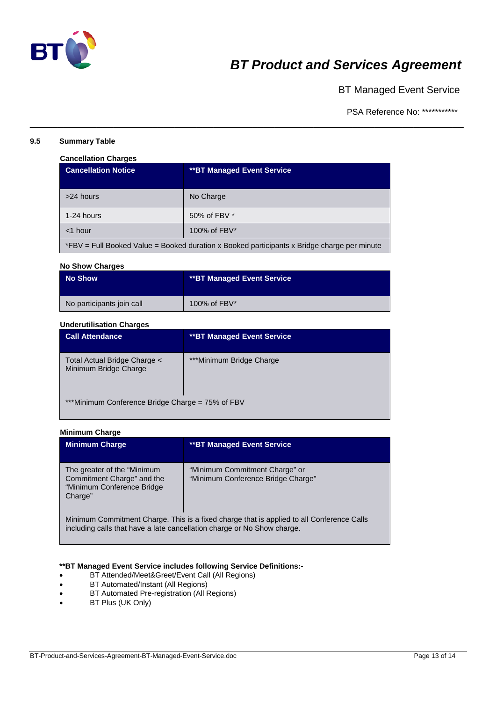

BT Managed Event Service

PSA Reference No: \*\*\*\*\*\*\*\*\*\*\*

### **9.5 Summary Table**

### **Cancellation Charges**

| <b>Cancellation Notice</b>                                                                  | <b>**BT Managed Event Service</b> |  |
|---------------------------------------------------------------------------------------------|-----------------------------------|--|
| >24 hours                                                                                   | No Charge                         |  |
| 1-24 hours                                                                                  | 50% of FBV *                      |  |
| $<$ 1 hour                                                                                  | 100% of FBV*                      |  |
| *FBV = Full Booked Value = Booked duration x Booked participants x Bridge charge per minute |                                   |  |

\_\_\_\_\_\_\_\_\_\_\_\_\_\_\_\_\_\_\_\_\_\_\_\_\_\_\_\_\_\_\_\_\_\_\_\_\_\_\_\_\_\_\_\_\_\_\_\_\_\_\_\_\_\_\_\_\_\_\_\_\_\_\_\_\_\_\_\_\_\_\_\_\_\_\_\_\_\_

#### **No Show Charges**

| <b>No Show</b>            | <b>**BT Managed Event Service</b> |
|---------------------------|-----------------------------------|
| No participants join call | 100% of FBV*                      |

## **Underutilisation Charges**

| <b>Call Attendance</b>                                | <b>**BT Managed Event Service</b> |  |
|-------------------------------------------------------|-----------------------------------|--|
| Total Actual Bridge Charge <<br>Minimum Bridge Charge | ***Minimum Bridge Charge          |  |
| ***Minimum Conference Bridge Charge = 75% of FBV      |                                   |  |

#### **Minimum Charge**

| <b>Minimum Charge</b>                                                                               | <b>**BT Managed Event Service</b>                                                         |
|-----------------------------------------------------------------------------------------------------|-------------------------------------------------------------------------------------------|
| The greater of the "Minimum"<br>Commitment Charge" and the<br>"Minimum Conference Bridge<br>Charge" | "Minimum Commitment Charge" or<br>"Minimum Conference Bridge Charge"                      |
| including calls that have a late cancellation charge or No Show charge.                             | Minimum Commitment Charge. This is a fixed charge that is applied to all Conference Calls |

### **\*\*BT Managed Event Service includes following Service Definitions:-**

- BT Attended/Meet&Greet/Event Call (All Regions)
- BT Automated/Instant (All Regions)
- BT Automated Pre-registration (All Regions)
- BT Plus (UK Only)